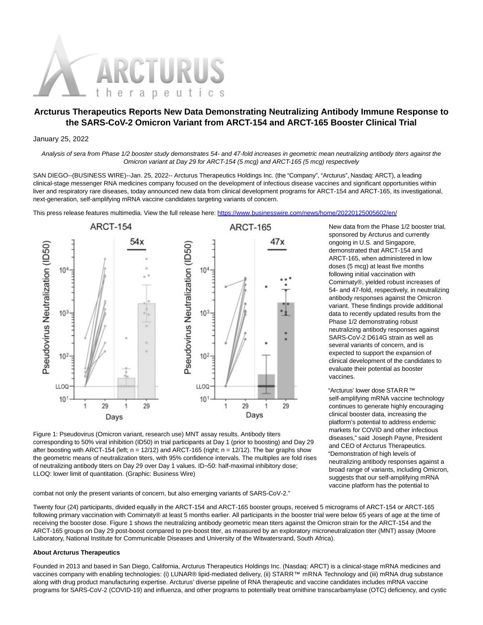

# **Arcturus Therapeutics Reports New Data Demonstrating Neutralizing Antibody Immune Response to the SARS-CoV-2 Omicron Variant from ARCT-154 and ARCT-165 Booster Clinical Trial**

### January 25, 2022

Analysis of sera from Phase 1/2 booster study demonstrates 54- and 47-fold increases in geometric mean neutralizing antibody titers against the Omicron variant at Day 29 for ARCT-154 (5 mcg) and ARCT-165 (5 mcg) respectively

SAN DIEGO--(BUSINESS WIRE)--Jan. 25, 2022-- Arcturus Therapeutics Holdings Inc. (the "Company", "Arcturus", Nasdaq: ARCT), a leading clinical-stage messenger RNA medicines company focused on the development of infectious disease vaccines and significant opportunities within liver and respiratory rare diseases, today announced new data from clinical development programs for ARCT-154 and ARCT-165, its investigational, next-generation, self-amplifying mRNA vaccine candidates targeting variants of concern.

This press release features multimedia. View the full release here:<https://www.businesswire.com/news/home/20220125005602/en/>



Figure 1: Pseudovirus (Omicron variant, research use) MNT assay results. Antibody titers corresponding to 50% viral inhibition (ID50) in trial participants at Day 1 (prior to boosting) and Day 29 after boosting with ARCT-154 (left;  $n = 12/12$ ) and ARCT-165 (right;  $n = 12/12$ ). The bar graphs show the geometric means of neutralization titers, with 95% confidence intervals. The multiples are fold rises of neutralizing antibody titers on Day 29 over Day 1 values. ID¬50: half-maximal inhibitory dose; LLOQ: lower limit of quantitation. (Graphic: Business Wire)

combat not only the present variants of concern, but also emerging variants of SARS-CoV-2."

New data from the Phase 1/2 booster trial, sponsored by Arcturus and currently ongoing in U.S. and Singapore, demonstrated that ARCT-154 and ARCT-165, when administered in low doses (5 mcg) at least five months following initial vaccination with Comirnaty®, yielded robust increases of 54- and 47-fold, respectively, in neutralizing antibody responses against the Omicron variant. These findings provide additional data to recently updated results from the Phase 1/2 demonstrating robust neutralizing antibody responses against SARS-CoV-2 D614G strain as well as several variants of concern, and is expected to support the expansion of clinical development of the candidates to evaluate their potential as booster vaccines.

"Arcturus' lower dose STARR™ self-amplifying mRNA vaccine technology continues to generate highly encouraging clinical booster data, increasing the platform's potential to address endemic markets for COVID and other infectious diseases," said Joseph Payne, President and CEO of Arcturus Therapeutics. "Demonstration of high levels of neutralizing antibody responses against a broad range of variants, including Omicron, suggests that our self-amplifying mRNA vaccine platform has the potential to

Twenty four (24) participants, divided equally in the ARCT-154 and ARCT-165 booster groups, received 5 micrograms of ARCT-154 or ARCT-165 following primary vaccination with Comirnaty® at least 5 months earlier. All participants in the booster trial were below 65 years of age at the time of receiving the booster dose. Figure 1 shows the neutralizing antibody geometric mean titers against the Omicron strain for the ARCT-154 and the ARCT-165 groups on Day 29 post-boost compared to pre-boost titer, as measured by an exploratory microneutralization titer (MNT) assay (Moore Laboratory, National Institute for Communicable Diseases and University of the Witwatersrand, South Africa).

## **About Arcturus Therapeutics**

Founded in 2013 and based in San Diego, California, Arcturus Therapeutics Holdings Inc. (Nasdaq: ARCT) is a clinical-stage mRNA medicines and vaccines company with enabling technologies: (i) LUNAR® lipid-mediated delivery, (ii) STARR™ mRNA Technology and (iii) mRNA drug substance along with drug product manufacturing expertise. Arcturus' diverse pipeline of RNA therapeutic and vaccine candidates includes mRNA vaccine programs for SARS-CoV-2 (COVID-19) and influenza, and other programs to potentially treat ornithine transcarbamylase (OTC) deficiency, and cystic